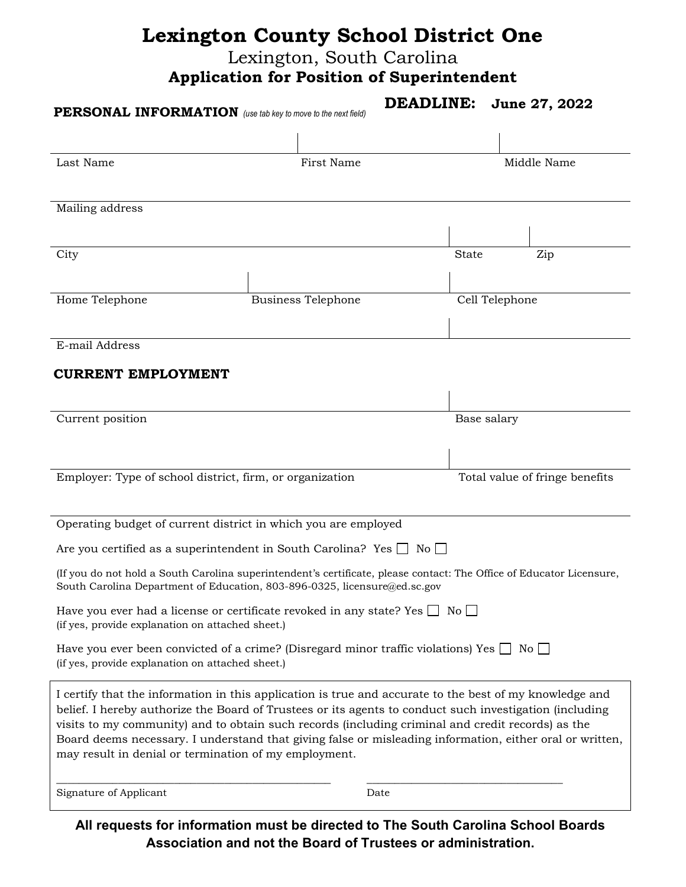## **Lexington County School District One**

Lexington, South Carolina

**Application for Position of Superintendent**

|                                                  | PERSONAL INFORMATION (use tab key to move to the next field)                                                                                                                                                                                                                                                                                                                                                                                                                                 | <b>DEADLINE:</b><br>June 27, 2022 |
|--------------------------------------------------|----------------------------------------------------------------------------------------------------------------------------------------------------------------------------------------------------------------------------------------------------------------------------------------------------------------------------------------------------------------------------------------------------------------------------------------------------------------------------------------------|-----------------------------------|
|                                                  |                                                                                                                                                                                                                                                                                                                                                                                                                                                                                              |                                   |
| Last Name                                        | First Name                                                                                                                                                                                                                                                                                                                                                                                                                                                                                   | Middle Name                       |
|                                                  |                                                                                                                                                                                                                                                                                                                                                                                                                                                                                              |                                   |
| Mailing address                                  |                                                                                                                                                                                                                                                                                                                                                                                                                                                                                              |                                   |
|                                                  |                                                                                                                                                                                                                                                                                                                                                                                                                                                                                              |                                   |
| City                                             |                                                                                                                                                                                                                                                                                                                                                                                                                                                                                              | <b>State</b><br>Zip               |
| Home Telephone                                   | <b>Business Telephone</b>                                                                                                                                                                                                                                                                                                                                                                                                                                                                    | Cell Telephone                    |
|                                                  |                                                                                                                                                                                                                                                                                                                                                                                                                                                                                              |                                   |
| E-mail Address                                   |                                                                                                                                                                                                                                                                                                                                                                                                                                                                                              |                                   |
| <b>CURRENT EMPLOYMENT</b>                        |                                                                                                                                                                                                                                                                                                                                                                                                                                                                                              |                                   |
|                                                  |                                                                                                                                                                                                                                                                                                                                                                                                                                                                                              |                                   |
| Current position                                 |                                                                                                                                                                                                                                                                                                                                                                                                                                                                                              | Base salary                       |
|                                                  |                                                                                                                                                                                                                                                                                                                                                                                                                                                                                              |                                   |
|                                                  | Employer: Type of school district, firm, or organization                                                                                                                                                                                                                                                                                                                                                                                                                                     | Total value of fringe benefits    |
|                                                  |                                                                                                                                                                                                                                                                                                                                                                                                                                                                                              |                                   |
|                                                  | Operating budget of current district in which you are employed                                                                                                                                                                                                                                                                                                                                                                                                                               |                                   |
|                                                  | Are you certified as a superintendent in South Carolina? Yes $\Box$ No $\Box$                                                                                                                                                                                                                                                                                                                                                                                                                |                                   |
|                                                  | (If you do not hold a South Carolina superintendent's certificate, please contact: The Office of Educator Licensure,<br>South Carolina Department of Education, 803-896-0325, licensure@ed.sc.gov                                                                                                                                                                                                                                                                                            |                                   |
| (if yes, provide explanation on attached sheet.) | Have you ever had a license or certificate revoked in any state? Yes $\Box$ No $\Box$                                                                                                                                                                                                                                                                                                                                                                                                        |                                   |
| (if yes, provide explanation on attached sheet.) | Have you ever been convicted of a crime? (Disregard minor traffic violations) Yes $\Box$ No $\Box$                                                                                                                                                                                                                                                                                                                                                                                           |                                   |
|                                                  | I certify that the information in this application is true and accurate to the best of my knowledge and<br>belief. I hereby authorize the Board of Trustees or its agents to conduct such investigation (including<br>visits to my community) and to obtain such records (including criminal and credit records) as the<br>Board deems necessary. I understand that giving false or misleading information, either oral or written,<br>may result in denial or termination of my employment. |                                   |
| Signature of Applicant                           | Date                                                                                                                                                                                                                                                                                                                                                                                                                                                                                         |                                   |

**All requests for information must be directed to The South Carolina School Boards Association and not the Board of Trustees or administration.**